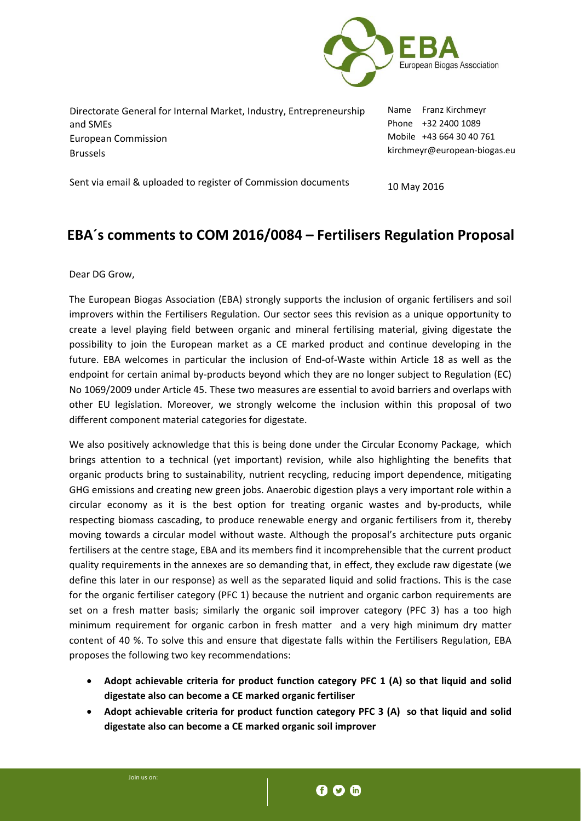

| Directorate General for Internal Market, Industry, Entrepreneurship | Name Franz Kirchmeyr         |
|---------------------------------------------------------------------|------------------------------|
| and SMEs                                                            | Phone +32 2400 1089          |
| European Commission                                                 | Mobile +43 664 30 40 761     |
| <b>Brussels</b>                                                     | kirchmeyr@european-biogas.eu |
|                                                                     |                              |

Sent via email & uploaded to register of Commission documents

10 May 2016

## **EBA´s comments to COM 2016/0084 – Fertilisers Regulation Proposal**

Dear DG Grow,

The European Biogas Association (EBA) strongly supports the inclusion of organic fertilisers and soil improvers within the Fertilisers Regulation. Our sector sees this revision as a unique opportunity to create a level playing field between organic and mineral fertilising material, giving digestate the possibility to join the European market as a CE marked product and continue developing in the future. EBA welcomes in particular the inclusion of End‐of‐Waste within Article 18 as well as the endpoint for certain animal by-products beyond which they are no longer subject to Regulation (EC) No 1069/2009 under Article 45. These two measures are essential to avoid barriers and overlaps with other EU legislation. Moreover, we strongly welcome the inclusion within this proposal of two different component material categories for digestate.

We also positively acknowledge that this is being done under the Circular Economy Package, which brings attention to a technical (yet important) revision, while also highlighting the benefits that organic products bring to sustainability, nutrient recycling, reducing import dependence, mitigating GHG emissions and creating new green jobs. Anaerobic digestion plays a very important role within a circular economy as it is the best option for treating organic wastes and by-products, while respecting biomass cascading, to produce renewable energy and organic fertilisers from it, thereby moving towards a circular model without waste. Although the proposal's architecture puts organic fertilisers at the centre stage, EBA and its members find it incomprehensible that the current product quality requirements in the annexes are so demanding that, in effect, they exclude raw digestate (we define this later in our response) as well as the separated liquid and solid fractions. This is the case for the organic fertiliser category (PFC 1) because the nutrient and organic carbon requirements are set on a fresh matter basis; similarly the organic soil improver category (PFC 3) has a too high minimum requirement for organic carbon in fresh matter and a very high minimum dry matter content of 40 %. To solve this and ensure that digestate falls within the Fertilisers Regulation, EBA proposes the following two key recommendations:

- **Adopt achievable criteria for product function category PFC 1 (A) so that liquid and solid digestate also can become a CE marked organic fertiliser**
- **Adopt achievable criteria for product function category PFC 3 (A) so that liquid and solid digestate also can become a CE marked organic soil improver**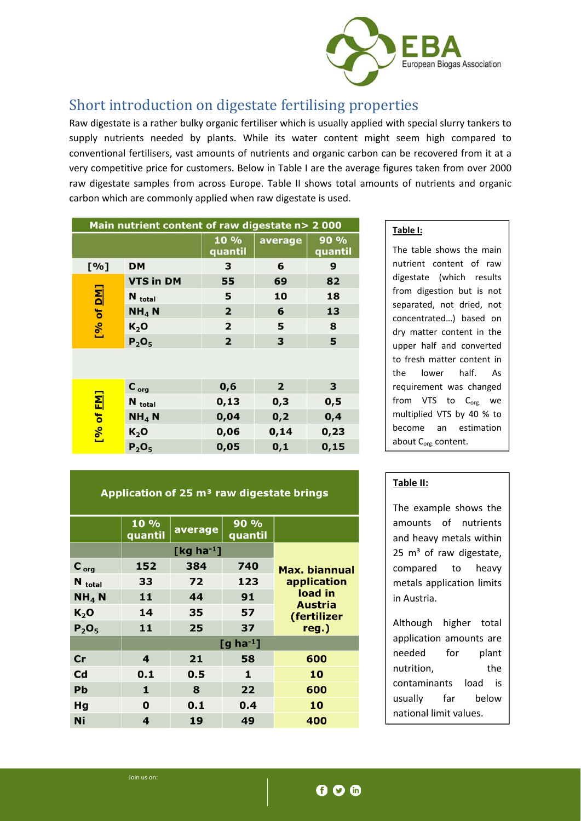

## Short introduction on digestate fertilising properties

Raw digestate is a rather bulky organic fertiliser which is usually applied with special slurry tankers to supply nutrients needed by plants. While its water content might seem high compared to conventional fertilisers, vast amounts of nutrients and organic carbon can be recovered from it at a very competitive price for customers. Below in Table I are the average figures taken from over 2000 raw digestate samples from across Europe. Table II shows total amounts of nutrients and organic carbon which are commonly applied when raw digestate is used.

| Main nutrient content of raw digestate n> 2 000 |                    |                         |                |                 |  |
|-------------------------------------------------|--------------------|-------------------------|----------------|-----------------|--|
|                                                 |                    | 10 %<br>quantil         | average        | 90 %<br>quantil |  |
| [%]                                             | <b>DM</b>          | з                       | 6              | 9               |  |
|                                                 | <b>VTS in DM</b>   | 55                      | 69             | 82              |  |
|                                                 | N <sub>total</sub> | 5                       | 10             | 18              |  |
| [% of <u>DM</u> ]                               | NH <sub>4</sub> N  | $\overline{\mathbf{2}}$ | 6              | 13              |  |
|                                                 | $K_2$ O            | 2                       | 5              | 8               |  |
|                                                 | $P_2O_5$           | $\overline{2}$          | 3              | 5               |  |
|                                                 |                    |                         |                |                 |  |
|                                                 | $C_{org}$          | 0, 6                    | $\overline{2}$ | 3               |  |
|                                                 | N total            | 0,13                    | 0,3            | 0,5             |  |
|                                                 | $NH4$ N            | 0,04                    | 0,2            | 0,4             |  |
| [% of <u>FM</u> ]                               | K <sub>2</sub> O   | 0,06                    | 0,14           | 0,23            |  |
|                                                 | $P_2O_5$           | 0,05                    | 0,1            | 0, 15           |  |

### Application of 25 m<sup>3</sup> raw digestate brings

|                    | 10 %<br>quantil           | average | 90 %<br>quantil |                        |
|--------------------|---------------------------|---------|-----------------|------------------------|
|                    | [ $kg$ ha <sup>-1</sup> ] |         |                 |                        |
| $C_{org}$          | 152                       | 384     | 740             | Max. biannual          |
| N <sub>total</sub> | 33                        | 72      | 123             | application            |
| $NH4$ N            | 11                        | 44      | 91              | load in                |
| K <sub>2</sub> O   | 14                        | 35      | 57              | Austria<br>(fertilizer |
| $P_2O_5$           | 11                        | 25      | 37              | reg.)                  |
|                    | $[g$ ha <sup>-1</sup> ]   |         |                 |                        |
| Cr                 | 4                         | 21      | 58              | 600                    |
| Cd                 | 0.1                       | 0.5     | 1               | 10                     |
| Pb                 | 1                         | 8       | 22              | 600                    |
| Hg                 | $\mathbf 0$               | 0.1     | 0.4             | 10                     |
| Ni                 | 4                         | 19      | 49              | 400                    |
|                    |                           |         |                 |                        |

### **Table I:**

The table shows the main nutrient content of raw digestate (which results from digestion but is not separated, not dried, not concentrated…) based on dry matter content in the upper half and converted to fresh matter content in the lower half. As requirement was changed from VTS to  $C_{\text{org}}$  we multiplied VTS by 40 % to become an estimation about C<sub>org.</sub> content.

### **Table II:**

The example shows the amounts of nutrients and heavy metals within  $25 \text{ m}^3$  of raw digestate, compared to heavy metals application limits in Austria.

Although higher total application amounts are needed for plant nutrition, the contaminants load is usually far below national limit values.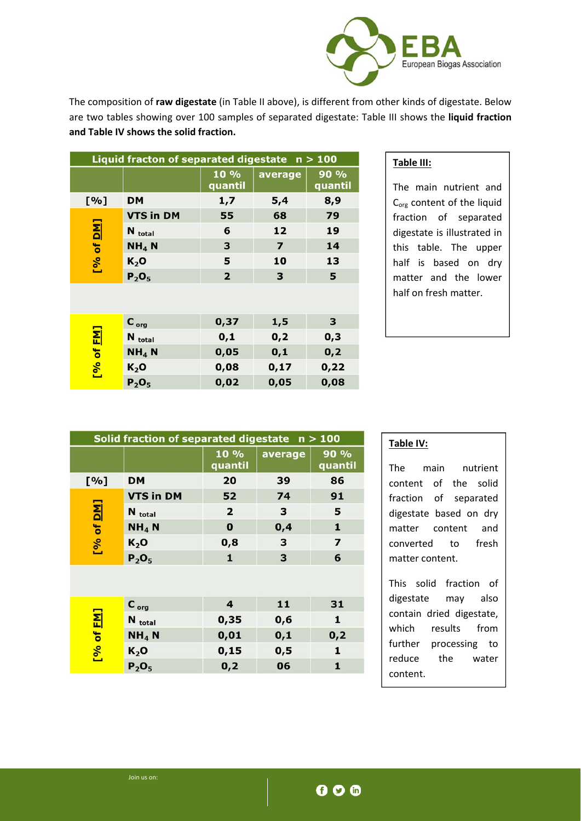

The composition of **raw digestate** (in Table II above), is different from other kinds of digestate. Below are two tables showing over 100 samples of separated digestate: Table III shows the **liquid fraction and Table IV shows the solid fraction.**

| Liquid fracton of separated digestate $n > 100$ |                    |                         |                         |                 |  |  |
|-------------------------------------------------|--------------------|-------------------------|-------------------------|-----------------|--|--|
|                                                 |                    | 10%<br>quantil          | average                 | 90 %<br>quantil |  |  |
| [%]                                             | <b>DM</b>          | 1,7                     | 5,4                     | 8,9             |  |  |
|                                                 | <b>VTS in DM</b>   | 55                      | 68                      | 79              |  |  |
|                                                 | N <sub>total</sub> | 6                       | 12                      | 19              |  |  |
| [% of <u>DM</u> ]                               | $NH4$ N            | 3                       | $\overline{\mathbf{z}}$ | 14              |  |  |
|                                                 | K <sub>2</sub> O   | 5                       | 10                      | 13              |  |  |
|                                                 | $P_2O_5$           | $\overline{\mathbf{2}}$ | 3                       | 5               |  |  |
|                                                 |                    |                         |                         |                 |  |  |
|                                                 | $C_{org}$          | 0,37                    | 1,5                     | 3               |  |  |
|                                                 | N <sub>total</sub> | 0,1                     | 0,2                     | 0,3             |  |  |
|                                                 | $NH4$ N            | 0,05                    | 0,1                     | 0,2             |  |  |
| [% of <u>FM]</u>                                | $K_2$ O            | 0,08                    | 0,17                    | 0,22            |  |  |
|                                                 | $P_2O_5$           | 0,02                    | 0,05                    | 0,08            |  |  |

### **Table III:**

The main nutrient and C<sub>org</sub> content of the liquid fraction of separated digestate is illustrated in this table. The upper half is based on dry matter and the lower half on fresh matter.

| Solid fraction of separated digestate $n > 100$ |                    |                         |         |                         |  |
|-------------------------------------------------|--------------------|-------------------------|---------|-------------------------|--|
|                                                 |                    | 10 %<br>quantil         | average | 90 %<br>quantil         |  |
| [%]                                             | DМ                 | 20                      | 39      | 86                      |  |
|                                                 | <b>VTS in DM</b>   | 52                      | 74      | 91                      |  |
|                                                 | N <sub>total</sub> | $\overline{\mathbf{2}}$ | з       | 5                       |  |
| [% of <u>DM</u> ]                               | NH <sub>4</sub> N  | $\bf{0}$                | 0,4     | 1                       |  |
|                                                 | $K_2$ O            | 0,8                     | 3       | $\overline{\mathbf{z}}$ |  |
|                                                 | $P_2O_5$           | $\mathbf{1}$            | 3       | 6                       |  |
|                                                 |                    |                         |         |                         |  |
|                                                 | $C_{org}$          | 4                       | 11      | 31                      |  |
|                                                 | N <sub>total</sub> | 0,35                    | 0,6     | 1                       |  |
|                                                 | NH <sub>4</sub> N  | 0,01                    | 0,1     | 0,2                     |  |
| [% of <u>FM]</u>                                | $K_2$ O            | 0, 15                   | 0,5     | 1                       |  |
|                                                 | $P_2O_5$           | 0,2                     | 06      | $\mathbf{1}$            |  |

### **Table IV:**

The main nutrient content of the solid fraction of separated digestate based on dry matter content and converted to fresh matter content.

This solid fraction of digestate may also contain dried digestate, which results from further processing to reduce the water content.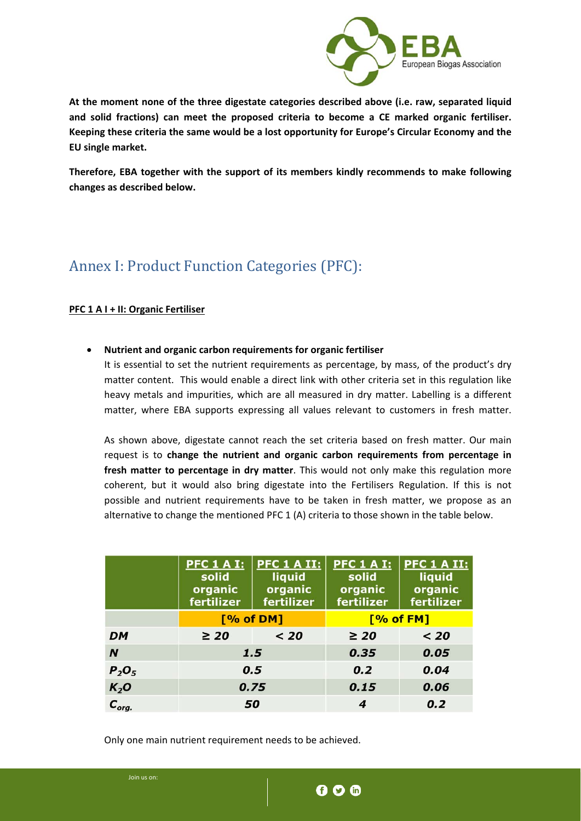

**At the moment none of the three digestate categories described above (i.e. raw, separated liquid and solid fractions) can meet the proposed criteria to become a CE marked organic fertiliser. Keeping these criteria the same would be a lost opportunity for Europe's Circular Economy and the EU single market.** 

**Therefore, EBA together with the support of its members kindly recommends to make following changes as described below.**

# Annex I: Product Function Categories (PFC):

### **PFC 1 A I + II: Organic Fertiliser**

**Nutrient and organic carbon requirements for organic fertiliser** 

It is essential to set the nutrient requirements as percentage, by mass, of the product's dry matter content. This would enable a direct link with other criteria set in this regulation like heavy metals and impurities, which are all measured in dry matter. Labelling is a different matter, where EBA supports expressing all values relevant to customers in fresh matter.

As shown above, digestate cannot reach the set criteria based on fresh matter. Our main request is to **change the nutrient and organic carbon requirements from percentage in fresh matter to percentage in dry matter**. This would not only make this regulation more coherent, but it would also bring digestate into the Fertilisers Regulation. If this is not possible and nutrient requirements have to be taken in fresh matter, we propose as an alternative to change the mentioned PFC 1 (A) criteria to those shown in the table below.

|                  | <b>PFC 1 A I:</b><br>solid<br>organic<br>fertilizer | PFC 1 A II:<br>liquid<br>organic<br>fertilizer | <b>PFC 1 A I:</b><br>solid<br>organic<br>fertilizer | PFC 1 A II:<br>liquid<br>organic<br>fertilizer |
|------------------|-----------------------------------------------------|------------------------------------------------|-----------------------------------------------------|------------------------------------------------|
|                  | [% of DM]                                           |                                                | [% of FM]                                           |                                                |
| <b>DM</b>        | $\geq 20$                                           | < 20                                           | $\geq 20$                                           | $20$                                           |
| N                | 1.5                                                 |                                                | 0.35                                                | 0.05                                           |
| $P_2O_5$         | 0.5                                                 |                                                | 0.2                                                 | 0.04                                           |
| K <sub>2</sub> O | 0.75                                                |                                                | 0.15                                                | 0.06                                           |
| $C_{org.}$       | 50                                                  |                                                | 4                                                   | 0.2                                            |

Only one main nutrient requirement needs to be achieved.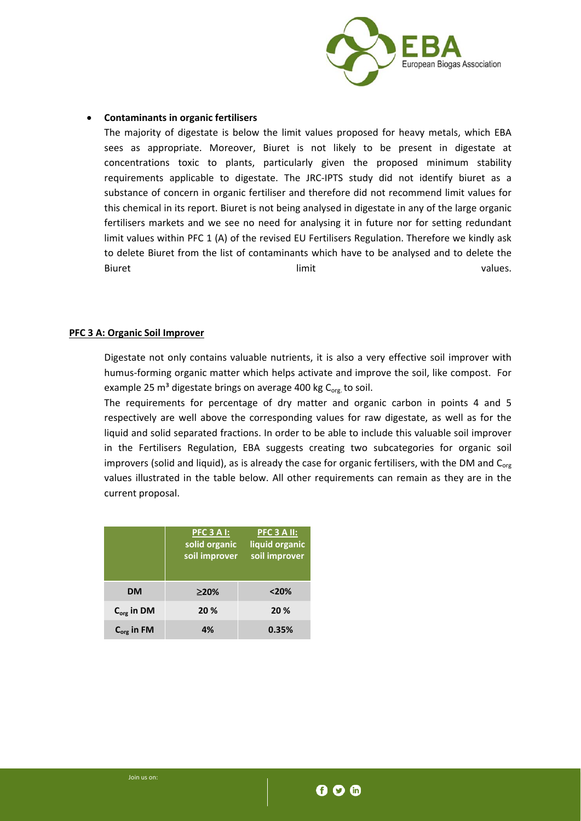

#### **Contaminants in organic fertilisers**

The majority of digestate is below the limit values proposed for heavy metals, which EBA sees as appropriate. Moreover, Biuret is not likely to be present in digestate at concentrations toxic to plants, particularly given the proposed minimum stability requirements applicable to digestate. The JRC‐IPTS study did not identify biuret as a substance of concern in organic fertiliser and therefore did not recommend limit values for this chemical in its report. Biuret is not being analysed in digestate in any of the large organic fertilisers markets and we see no need for analysing it in future nor for setting redundant limit values within PFC 1 (A) of the revised EU Fertilisers Regulation. Therefore we kindly ask to delete Biuret from the list of contaminants which have to be analysed and to delete the Biuret and a state of the limit and a state of the values.

### **PFC 3 A: Organic Soil Improver**

Digestate not only contains valuable nutrients, it is also a very effective soil improver with humus‐forming organic matter which helps activate and improve the soil, like compost. For example 25  $m<sup>3</sup>$  digestate brings on average 400 kg C<sub>org</sub> to soil.

The requirements for percentage of dry matter and organic carbon in points 4 and 5 respectively are well above the corresponding values for raw digestate, as well as for the liquid and solid separated fractions. In order to be able to include this valuable soil improver in the Fertilisers Regulation, EBA suggests creating two subcategories for organic soil improvers (solid and liquid), as is already the case for organic fertilisers, with the DM and  $C_{org}$ values illustrated in the table below. All other requirements can remain as they are in the current proposal.

|                 | PFC 3 A I:<br>solid organic<br>soil improver | PFC 3 A II:<br>liquid organic<br>soil improver |
|-----------------|----------------------------------------------|------------------------------------------------|
| <b>DM</b>       | $\geq$ 20%                                   | < 20%                                          |
| $C_{org}$ in DM | 20 %                                         | 20 %                                           |
| $C_{org}$ in FM | 4%                                           | 0.35%                                          |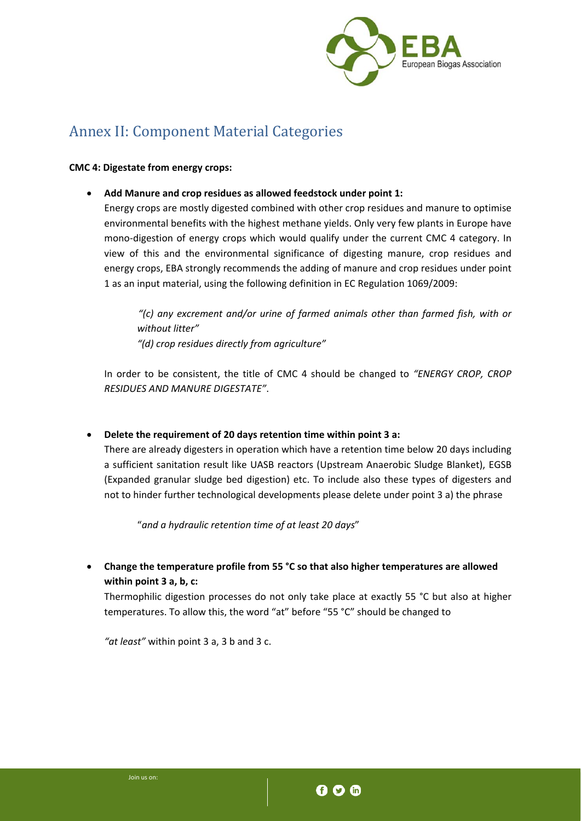

## Annex II: Component Material Categories

### **CMC 4: Digestate from energy crops:**

**Add Manure and crop residues as allowed feedstock under point 1:**

Energy crops are mostly digested combined with other crop residues and manure to optimise environmental benefits with the highest methane yields. Only very few plants in Europe have mono-digestion of energy crops which would qualify under the current CMC 4 category. In view of this and the environmental significance of digesting manure, crop residues and energy crops, EBA strongly recommends the adding of manure and crop residues under point 1 as an input material, using the following definition in EC Regulation 1069/2009:

*"(c) any excrement and/or urine of farmed animals other than farmed fish, with or without litter" "(d) crop residues directly from agriculture"*

In order to be consistent, the title of CMC 4 should be changed to *"ENERGY CROP, CROP RESIDUES AND MANURE DIGESTATE"*.

**Delete the requirement of 20 days retention time within point 3 a:**

There are already digesters in operation which have a retention time below 20 days including a sufficient sanitation result like UASB reactors (Upstream Anaerobic Sludge Blanket), EGSB (Expanded granular sludge bed digestion) etc. To include also these types of digesters and not to hinder further technological developments please delete under point 3 a) the phrase

"*and a hydraulic retention time of at least 20 days*"

 **Change the temperature profile from 55 °C so that also higher temperatures are allowed within point 3 a, b, c:**

Thermophilic digestion processes do not only take place at exactly 55 °C but also at higher temperatures. To allow this, the word "at" before "55 °C" should be changed to

*"at least"* within point 3 a, 3 b and 3 c.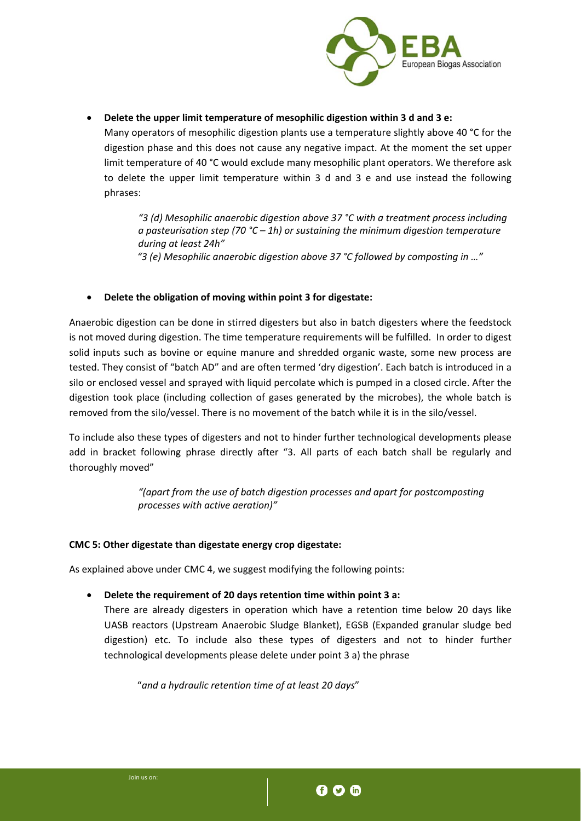

**Delete the upper limit temperature of mesophilic digestion within 3 d and 3 e:**

Many operators of mesophilic digestion plants use a temperature slightly above 40 °C for the digestion phase and this does not cause any negative impact. At the moment the set upper limit temperature of 40 °C would exclude many mesophilic plant operators. We therefore ask to delete the upper limit temperature within 3 d and 3 e and use instead the following phrases:

*"3 (d) Mesophilic anaerobic digestion above 37 °C with a treatment process including a pasteurisation step (70 °C – 1h) or sustaining the minimum digestion temperature during at least 24h" "3 (e) Mesophilic anaerobic digestion above 37 °C followed by composting in …"*

### **Delete the obligation of moving within point 3 for digestate:**

Anaerobic digestion can be done in stirred digesters but also in batch digesters where the feedstock is not moved during digestion. The time temperature requirements will be fulfilled. In order to digest solid inputs such as bovine or equine manure and shredded organic waste, some new process are tested. They consist of "batch AD" and are often termed 'dry digestion'. Each batch is introduced in a silo or enclosed vessel and sprayed with liquid percolate which is pumped in a closed circle. After the digestion took place (including collection of gases generated by the microbes), the whole batch is removed from the silo/vessel. There is no movement of the batch while it is in the silo/vessel.

To include also these types of digesters and not to hinder further technological developments please add in bracket following phrase directly after "3. All parts of each batch shall be regularly and thoroughly moved"

> *"(apart from the use of batch digestion processes and apart for postcomposting processes with active aeration)"*

### **CMC 5: Other digestate than digestate energy crop digestate:**

As explained above under CMC 4, we suggest modifying the following points:

**Delete the requirement of 20 days retention time within point 3 a:**

There are already digesters in operation which have a retention time below 20 days like UASB reactors (Upstream Anaerobic Sludge Blanket), EGSB (Expanded granular sludge bed digestion) etc. To include also these types of digesters and not to hinder further technological developments please delete under point 3 a) the phrase

"*and a hydraulic retention time of at least 20 days*"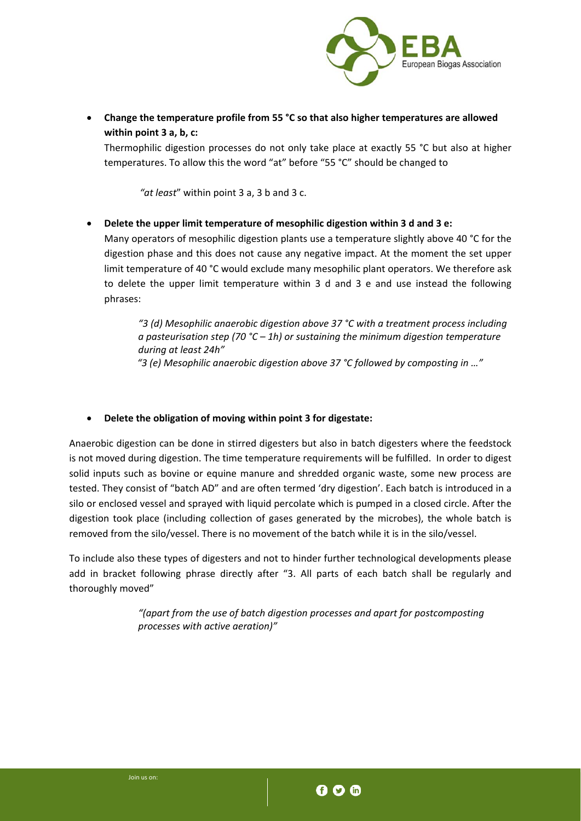

 **Change the temperature profile from 55 °C so that also higher temperatures are allowed within point 3 a, b, c:**

Thermophilic digestion processes do not only take place at exactly 55 °C but also at higher temperatures. To allow this the word "at" before "55 °C" should be changed to

 *"at least*" within point 3 a, 3 b and 3 c.

**Delete the upper limit temperature of mesophilic digestion within 3 d and 3 e:**

Many operators of mesophilic digestion plants use a temperature slightly above 40 °C for the digestion phase and this does not cause any negative impact. At the moment the set upper limit temperature of 40 °C would exclude many mesophilic plant operators. We therefore ask to delete the upper limit temperature within 3 d and 3 e and use instead the following phrases:

*"3 (d) Mesophilic anaerobic digestion above 37 °C with a treatment process including a pasteurisation step (70 °C – 1h) or sustaining the minimum digestion temperature during at least 24h" "3 (e) Mesophilic anaerobic digestion above 37 °C followed by composting in …"*

### **Delete the obligation of moving within point 3 for digestate:**

Anaerobic digestion can be done in stirred digesters but also in batch digesters where the feedstock is not moved during digestion. The time temperature requirements will be fulfilled. In order to digest solid inputs such as bovine or equine manure and shredded organic waste, some new process are tested. They consist of "batch AD" and are often termed 'dry digestion'. Each batch is introduced in a silo or enclosed vessel and sprayed with liquid percolate which is pumped in a closed circle. After the digestion took place (including collection of gases generated by the microbes), the whole batch is removed from the silo/vessel. There is no movement of the batch while it is in the silo/vessel.

To include also these types of digesters and not to hinder further technological developments please add in bracket following phrase directly after "3. All parts of each batch shall be regularly and thoroughly moved"

> *"(apart from the use of batch digestion processes and apart for postcomposting processes with active aeration)"*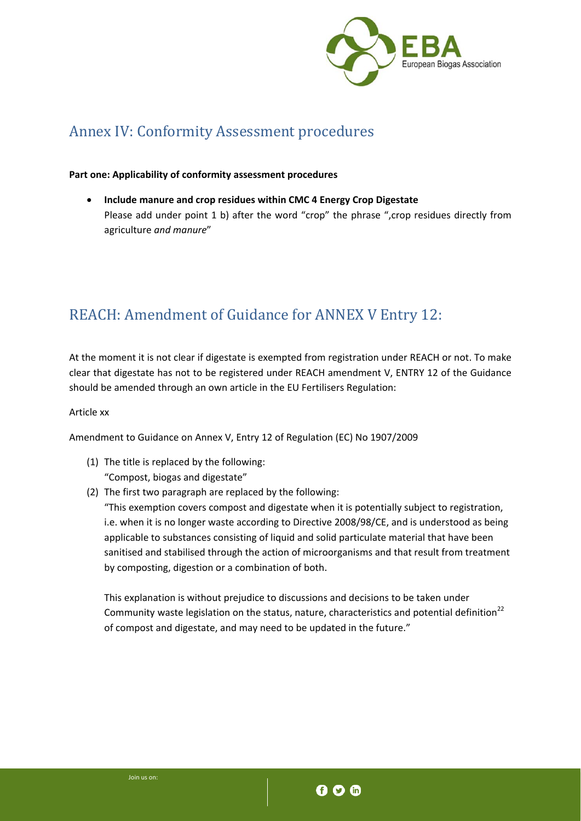

## Annex IV: Conformity Assessment procedures

### **Part one: Applicability of conformity assessment procedures**

 **Include manure and crop residues within CMC 4 Energy Crop Digestate** Please add under point 1 b) after the word "crop" the phrase ",crop residues directly from agriculture *and manure*"

# REACH: Amendment of Guidance for ANNEX V Entry 12:

At the moment it is not clear if digestate is exempted from registration under REACH or not. To make clear that digestate has not to be registered under REACH amendment V, ENTRY 12 of the Guidance should be amended through an own article in the EU Fertilisers Regulation:

### Article xx

Amendment to Guidance on Annex V, Entry 12 of Regulation (EC) No 1907/2009

- (1) The title is replaced by the following: "Compost, biogas and digestate"
- (2) The first two paragraph are replaced by the following:

"This exemption covers compost and digestate when it is potentially subject to registration, i.e. when it is no longer waste according to Directive 2008/98/CE, and is understood as being applicable to substances consisting of liquid and solid particulate material that have been sanitised and stabilised through the action of microorganisms and that result from treatment by composting, digestion or a combination of both.

This explanation is without prejudice to discussions and decisions to be taken under Community waste legislation on the status, nature, characteristics and potential definition<sup>22</sup> of compost and digestate, and may need to be updated in the future."